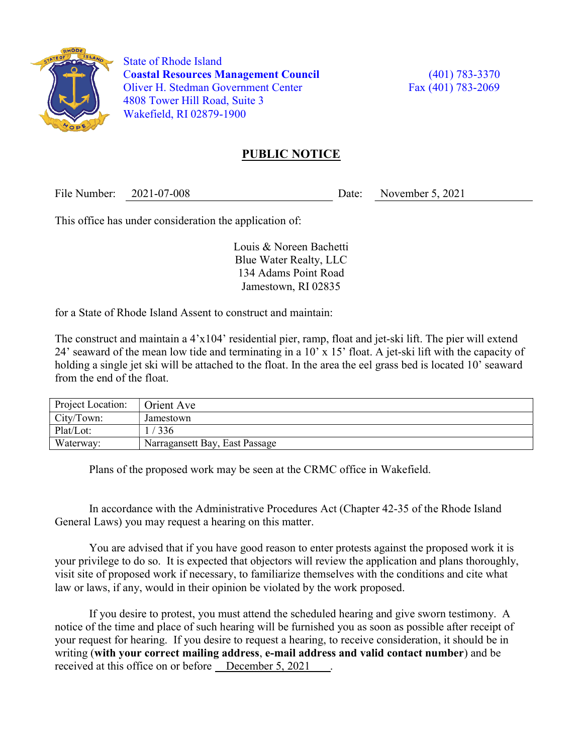

 State of Rhode Island Coastal Resources Management Council (401) 783-3370 Oliver H. Stedman Government Center Fax (401) 783-2069 4808 Tower Hill Road, Suite 3 Wakefield, RI 02879-1900

## PUBLIC NOTICE

File Number: 2021-07-008 Date: November 5, 2021

This office has under consideration the application of:

Louis & Noreen Bachetti Blue Water Realty, LLC 134 Adams Point Road Jamestown, RI 02835

for a State of Rhode Island Assent to construct and maintain:

The construct and maintain a 4'x104' residential pier, ramp, float and jet-ski lift. The pier will extend 24' seaward of the mean low tide and terminating in a 10' x 15' float. A jet-ski lift with the capacity of holding a single jet ski will be attached to the float. In the area the eel grass bed is located 10' seaward from the end of the float.

| Project Location: | Orient Ave                     |
|-------------------|--------------------------------|
| City/Town:        | Jamestown                      |
| Plat/Lot:         | 336                            |
| Waterway:         | Narragansett Bay, East Passage |

Plans of the proposed work may be seen at the CRMC office in Wakefield.

In accordance with the Administrative Procedures Act (Chapter 42-35 of the Rhode Island General Laws) you may request a hearing on this matter.

You are advised that if you have good reason to enter protests against the proposed work it is your privilege to do so. It is expected that objectors will review the application and plans thoroughly, visit site of proposed work if necessary, to familiarize themselves with the conditions and cite what law or laws, if any, would in their opinion be violated by the work proposed.

If you desire to protest, you must attend the scheduled hearing and give sworn testimony. A notice of the time and place of such hearing will be furnished you as soon as possible after receipt of your request for hearing. If you desire to request a hearing, to receive consideration, it should be in writing (with your correct mailing address, e-mail address and valid contact number) and be received at this office on or before <u>December 5, 2021</u>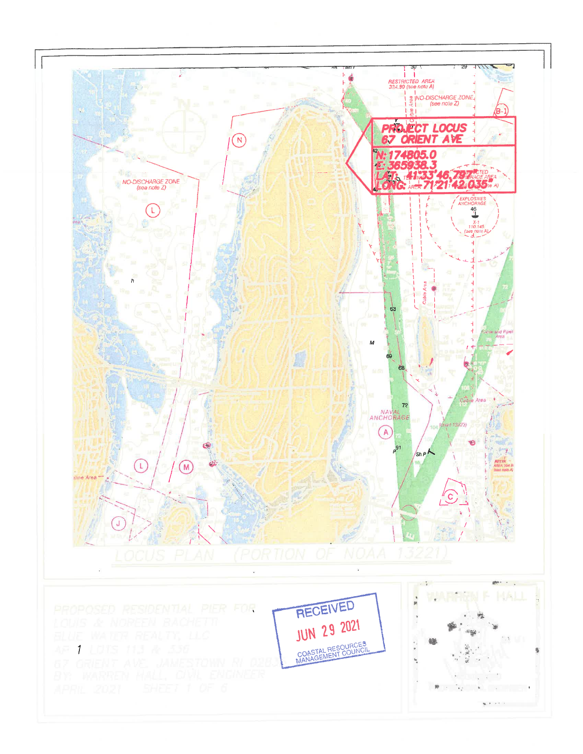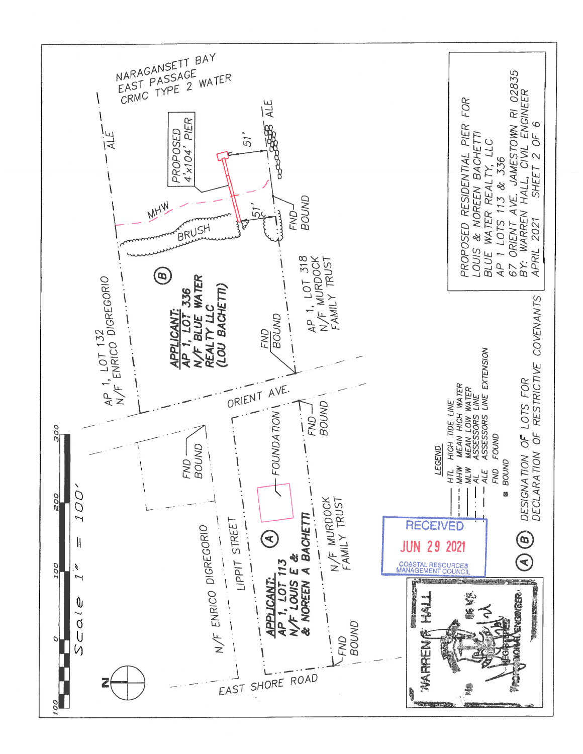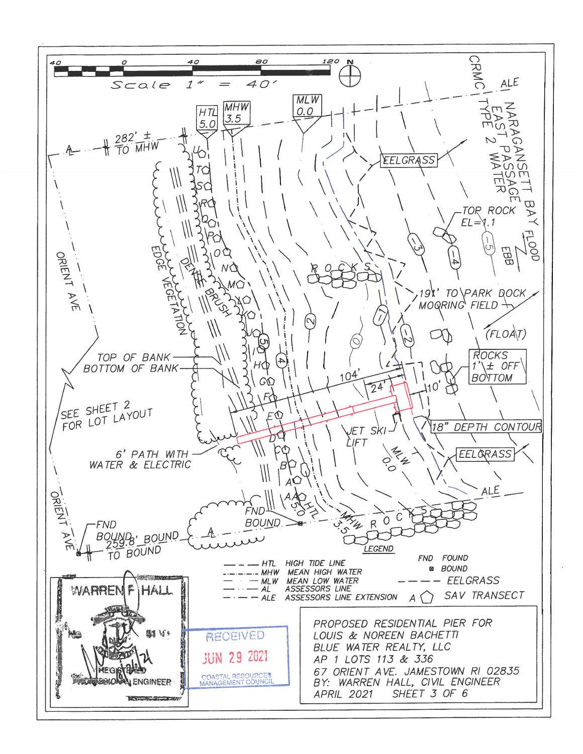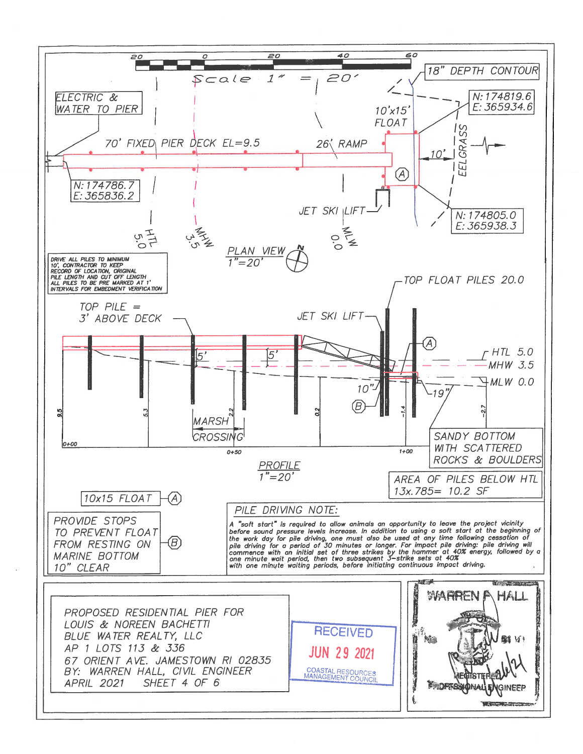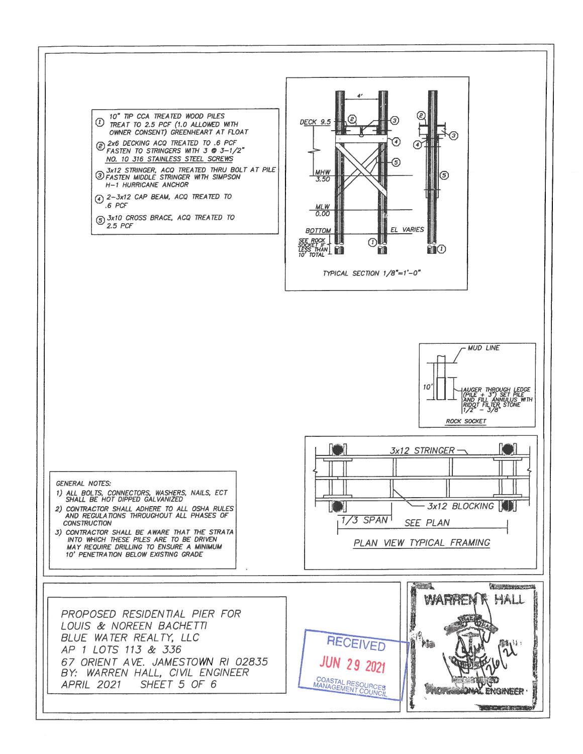